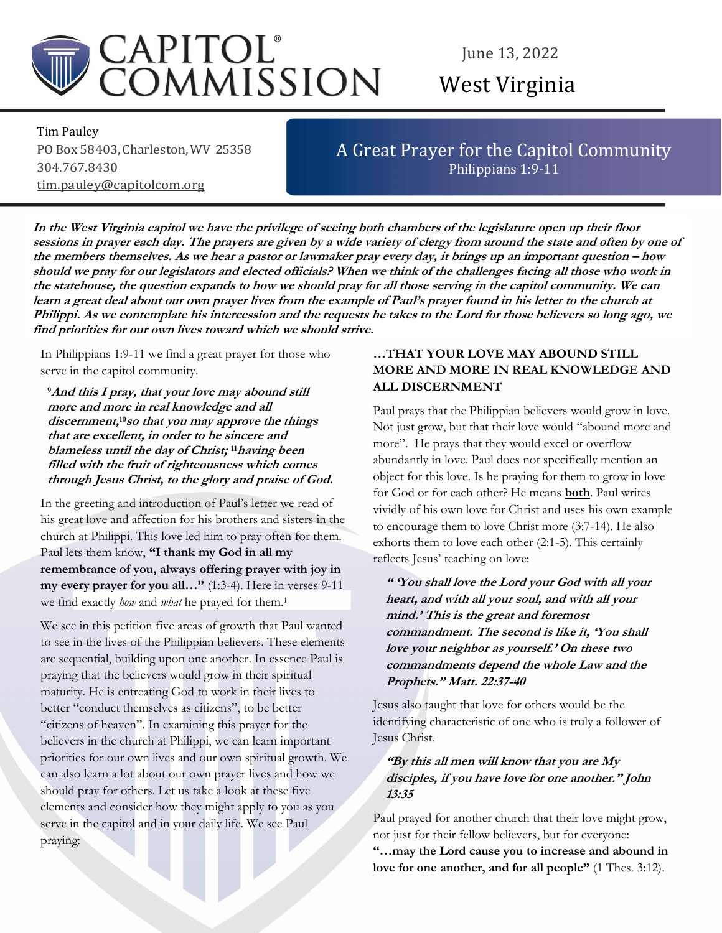

# June 13, 2022 West Virginia

Tim Pauley PO Box 58403, Charleston, WV 25358 304.767.8430 tim.pauley@capitolcom.org

# A Great Prayer for the Capitol Community Philippians 1:9-11

In the West Virginia capitol we have the privilege of seeing both chambers of the legislature open up their floor sessions in prayer each day. The prayers are given by a wide variety of clergy from around the state and often by one of the members themselves. As we hear a pastor or lawmaker pray every day, it brings up an important question – how should we pray for our legislators and elected officials? When we think of the challenges facing all those who work in the statehouse, the question expands to how we should pray for all those serving in the capitol community. We can learn a great deal about our own prayer lives from the example of Paul's prayer found in his letter to the church at Philippi. As we contemplate his intercession and the requests he takes to the Lord for those believers so long ago, we find priorities for our own lives toward which we should strive.

In Philippians 1:9-11 we find a great prayer for those who serve in the capitol community.

<sup>9</sup>And this I pray, that your love may abound still more and more in real knowledge and all discernment, <sup>10</sup>so that you may approve the things that are excellent, in order to be sincere and blameless until the day of Christ; <sup>11</sup>having been filled with the fruit of righteousness which comes through Jesus Christ, to the glory and praise of God.

In the greeting and introduction of Paul's letter we read of his great love and affection for his brothers and sisters in the church at Philippi. This love led him to pray often for them. Paul lets them know, "I thank my God in all my remembrance of you, always offering prayer with joy in my every prayer for you all..." (1:3-4). Here in verses 9-11 we find exactly how and what he prayed for them.<sup>1</sup>

We see in this petition five areas of growth that Paul wanted to see in the lives of the Philippian believers. These elements are sequential, building upon one another. In essence Paul is praying that the believers would grow in their spiritual maturity. He is entreating God to work in their lives to better "conduct themselves as citizens", to be better "citizens of heaven". In examining this prayer for the believers in the church at Philippi, we can learn important priorities for our own lives and our own spiritual growth. We can also learn a lot about our own prayer lives and how we should pray for others. Let us take a look at these five elements and consider how they might apply to you as you serve in the capitol and in your daily life. We see Paul praying:

### …THAT YOUR LOVE MAY ABOUND STILL MORE AND MORE IN REAL KNOWLEDGE AND ALL DISCERNMENT

Paul prays that the Philippian believers would grow in love. Not just grow, but that their love would "abound more and more". He prays that they would excel or overflow abundantly in love. Paul does not specifically mention an object for this love. Is he praying for them to grow in love for God or for each other? He means both. Paul writes vividly of his own love for Christ and uses his own example to encourage them to love Christ more (3:7-14). He also exhorts them to love each other (2:1-5). This certainly reflects Jesus' teaching on love:

" 'You shall love the Lord your God with all your heart, and with all your soul, and with all your mind.' This is the great and foremost commandment. The second is like it, 'You shall love your neighbor as yourself.' On these two commandments depend the whole Law and the Prophets." Matt. 22:37-40

Jesus also taught that love for others would be the identifying characteristic of one who is truly a follower of Jesus Christ.

## "By this all men will know that you are  $My$ disciples, if you have love for one another." John 13:35

Paul prayed for another church that their love might grow, not just for their fellow believers, but for everyone: "…may the Lord cause you to increase and abound in love for one another, and for all people" (1 Thes. 3:12).